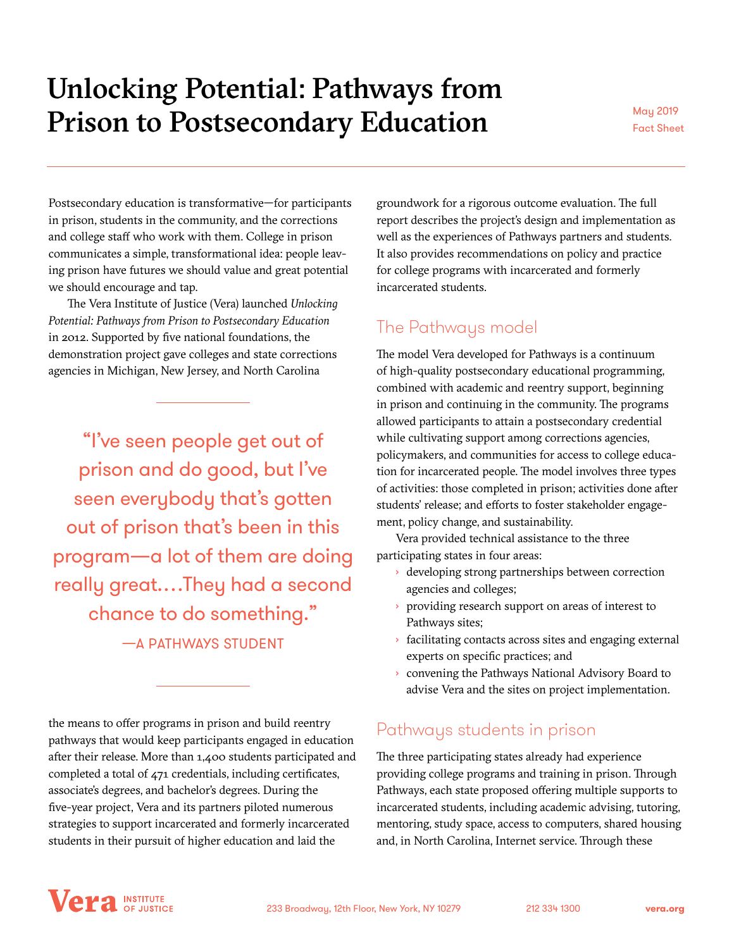# Unlocking Potential: Pathways from Prison to Postsecondary Education May 2019

Fact Sheet

Postsecondary education is transformative—for participants in prison, students in the community, and the corrections and college staff who work with them. College in prison communicates a simple, transformational idea: people leaving prison have futures we should value and great potential we should encourage and tap.

The Vera Institute of Justice (Vera) launched *Unlocking Potential: Pathways from Prison to Postsecondary Education* in 2012. Supported by five national foundations, the demonstration project gave colleges and state corrections agencies in Michigan, New Jersey, and North Carolina

"I've seen people get out of prison and do good, but I've seen everybody that's gotten out of prison that's been in this program—a lot of them are doing really great.…They had a second chance to do something."

—A PATHWAYS STUDENT

the means to offer programs in prison and build reentry pathways that would keep participants engaged in education after their release. More than 1,400 students participated and completed a total of 471 credentials, including certificates, associate's degrees, and bachelor's degrees. During the five-year project, Vera and its partners piloted numerous strategies to support incarcerated and formerly incarcerated students in their pursuit of higher education and laid the

groundwork for a rigorous outcome evaluation. The full report describes the project's design and implementation as well as the experiences of Pathways partners and students. It also provides recommendations on policy and practice for college programs with incarcerated and formerly incarcerated students.

## The Pathways model

The model Vera developed for Pathways is a continuum of high-quality postsecondary educational programming, combined with academic and reentry support, beginning in prison and continuing in the community. The programs allowed participants to attain a postsecondary credential while cultivating support among corrections agencies, policymakers, and communities for access to college education for incarcerated people. The model involves three types of activities: those completed in prison; activities done after students' release; and efforts to foster stakeholder engagement, policy change, and sustainability.

Vera provided technical assistance to the three participating states in four areas:

- › developing strong partnerships between correction agencies and colleges;
- › providing research support on areas of interest to Pathways sites;
- › facilitating contacts across sites and engaging external experts on specific practices; and
- › convening the Pathways National Advisory Board to advise Vera and the sites on project implementation.

### Pathways students in prison

The three participating states already had experience providing college programs and training in prison. Through Pathways, each state proposed offering multiple supports to incarcerated students, including academic advising, tutoring, mentoring, study space, access to computers, shared housing and, in North Carolina, Internet service. Through these